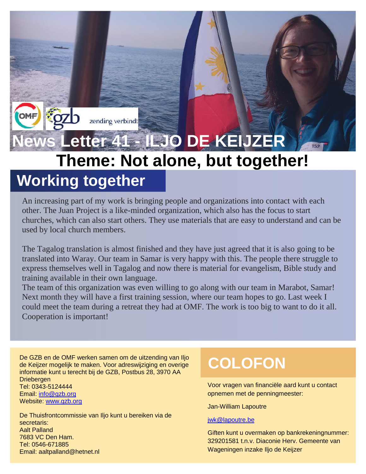# **News Letter 41 - ILJO DE KEIJZER Theme: Not alone, but together! Working together**

zending verbindt

#### An increasing part of my work is bringing people and organizations into contact with each other. The Juan Project is a like-minded organization, which also has the focus to start churches, which can also start others. They use materials that are easy to understand and can be used by local church members.

The Tagalog translation is almost finished and they have just agreed that it is also going to be translated into Waray. Our team in Samar is very happy with this. The people there struggle to express themselves well in Tagalog and now there is material for evangelism, Bible study and training available in their own language.

The team of this organization was even willing to go along with our team in Marabot, Samar! Next month they will have a first training session, where our team hopes to go. Last week I could meet the team during a retreat they had at OMF. The work is too big to want to do it all. Cooperation is important!

De GZB en de OMF werken samen om de uitzending van Iljo<br>de Keijzer mogelijk te maken. Voor adreswijziging en overige<br>informatie land uiterscht bij de CZP. Besthus 99.000 AA informatie kunt u terecht bij de GZB, Postbus 28, 3970 AA **Driebergen** Tel: 0343-5124444 Email: [info@gzb.org](mailto:info@gzb.org) Website: [www.gzb.org](http://www.gzb.org/)

De Thuisfrontcommissie van Iljo kunt u bereiken via de secretaris: Aalt Palland 7683 VC Den Ham. Tel: 0546-671885 Email: aaltpalland@hetnet.nl

Voor vragen van financiële aard kunt u contact opnemen met de penningmeester:

Jan-William Lapoutre

#### [jwk@lapoutre.be](mailto:jwk@lapourtre.be)

Giften kunt u overmaken op bankrekeningnummer: 329201581 t.n.v. Diaconie Herv. Gemeente van Wageningen inzake Iljo de Keijzer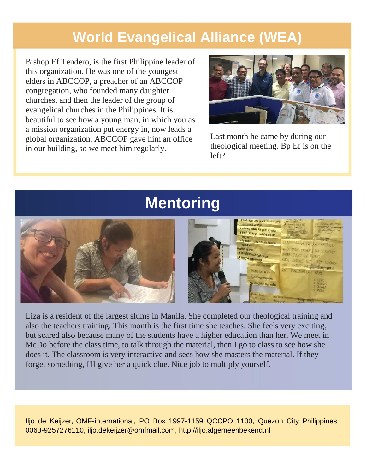## **World Evangelical Alliance (WEA)**

Bishop Ef Tendero, is the first Philippine leader of this organization. He was one of the youngest elders in ABCCOP, a preacher of an ABCCOP congregation, who founded many daughter churches, and then the leader of the group of evangelical churches in the Philippines. It is beautiful to see how a young man, in which you as a mission organization put energy in, now leads a global organization. ABCCOP gave him an office in our building, so we meet him regularly.



Last month he came by during our theological meeting. Bp Ef is on the left?

## **Mentoring**



Liza is a resident of the largest slums in Manila. She completed our theological training and also the teachers training. This month is the first time she teaches. She feels very exciting, but scared also because many of the students have a higher education than her. We meet in McDo before the class time, to talk through the material, then I go to class to see how she does it. The classroom is very interactive and sees how she masters the material. If they forget something, I'll give her a quick clue. Nice job to multiply yourself.

Iljo de Keijzer, OMF-international, PO Box 1997-1159 QCCPO 1100, Quezon City Philippines 0063-9257276110, iljo.dekeijzer@omfmail.com, http://iljo.algemeenbekend.nl